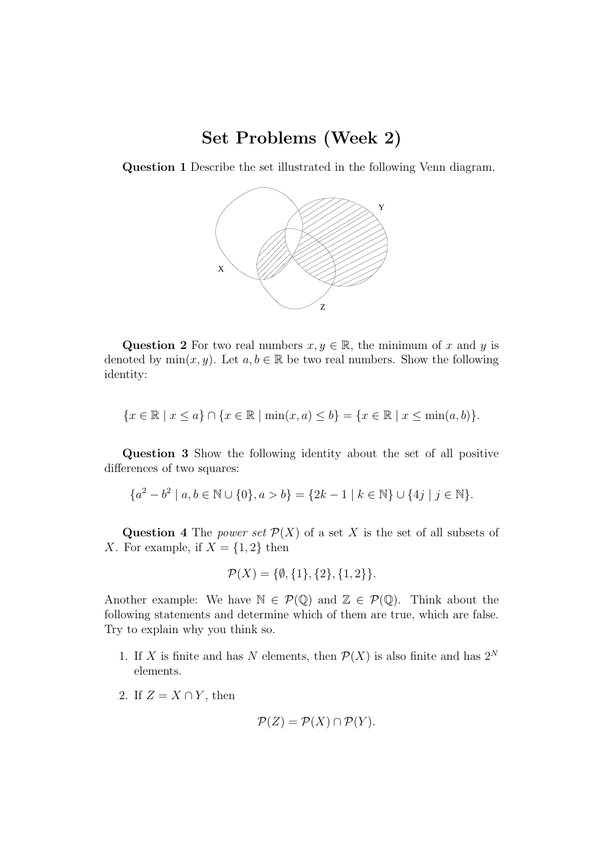## Set Problems (Week 2)

Question 1 Describe the set illustrated in the following Venn diagram.



Question 2 For two real numbers  $x, y \in \mathbb{R}$ , the minimum of x and y is denoted by  $\min(x, y)$ . Let  $a, b \in \mathbb{R}$  be two real numbers. Show the following identity:

$$
\{x \in \mathbb{R} \mid x \le a\} \cap \{x \in \mathbb{R} \mid \min(x, a) \le b\} = \{x \in \mathbb{R} \mid x \le \min(a, b)\}.
$$

Question 3 Show the following identity about the set of all positive differences of two squares:

$$
\{a^2 - b^2 \mid a, b \in \mathbb{N} \cup \{0\}, a > b\} = \{2k - 1 \mid k \in \mathbb{N}\} \cup \{4j \mid j \in \mathbb{N}\}.
$$

Question 4 The *power set*  $\mathcal{P}(X)$  of a set X is the set of all subsets of X. For example, if  $X = \{1, 2\}$  then

$$
\mathcal{P}(X) = \{ \emptyset, \{1\}, \{2\}, \{1, 2\} \}.
$$

Another example: We have  $\mathbb{N} \in \mathcal{P}(\mathbb{Q})$  and  $\mathbb{Z} \in \mathcal{P}(\mathbb{Q})$ . Think about the following statements and determine which of them are true, which are false. Try to explain why you think so.

- 1. If X is finite and has N elements, then  $\mathcal{P}(X)$  is also finite and has  $2^N$ elements.
- 2. If  $Z = X \cap Y$ , then

$$
\mathcal{P}(Z) = \mathcal{P}(X) \cap \mathcal{P}(Y).
$$